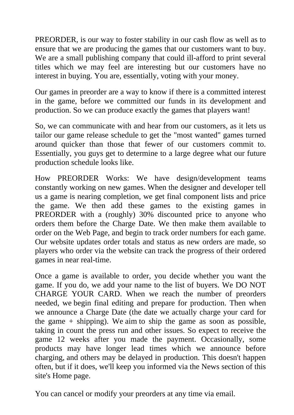PREORDER, is our way to foster stability in our cash flow as well as to ensure that we are producing the games that our customers want to buy. We are a small publishing company that could ill-afford to print several titles which we may feel are interesting but our customers have no interest in buying. You are, essentially, voting with your money.

Our games in preorder are a way to know if there is a committed interest in the game, before we committed our funds in its development and production. So we can produce exactly the games that players want!

So, we can communicate with and hear from our customers, as it lets us tailor our game release schedule to get the "most wanted" games turned around quicker than those that fewer of our customers commit to. Essentially, you guys get to determine to a large degree what our future production schedule looks like.

How PREORDER Works: We have design/development teams constantly working on new games. When the designer and developer tell us a game is nearing completion, we get final component lists and price the game. We then add these games to the existing games in PREORDER with a (roughly) 30% discounted price to anyone who orders them before the Charge Date. We then make them available to order on the Web Page, and begin to track order numbers for each game. Our website updates order totals and status as new orders are made, so players who order via the website can track the progress of their ordered games in near real-time.

Once a game is available to order, you decide whether you want the game. If you do, we add your name to the list of buyers. We DO NOT CHARGE YOUR CARD. When we reach the number of preorders needed, we begin final editing and prepare for production. Then when we announce a Charge Date (the date we actually charge your card for the game  $+$  shipping). We aim to ship the game as soon as possible, taking in count the press run and other issues. So expect to receive the game 12 weeks after you made the payment. Occasionally, some products may have longer lead times which we announce before charging, and others may be delayed in production. This doesn't happen often, but if it does, we'll keep you informed via the News section of this site's Home page.

You can cancel or modify your preorders at any time via email.